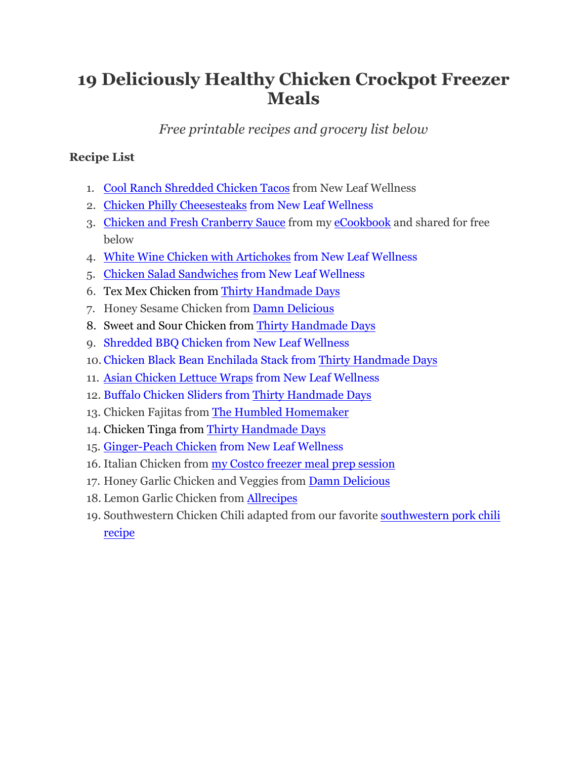# **19 Deliciously Healthy Chicken Crockpot Freezer Meals**

*Free printable recipes and grocery list below*

# **Recipe List**

- 1. [Cool Ranch Shredded Chicken Tacos](http://newleafwellness.biz/2016/03/30/cool-ranch-shredded-chicken-tacos-crockpot-recipe/) from New Leaf Wellness
- 2. [Chicken Philly Cheesesteaks](http://newleafwellness.biz/2015/05/06/crockpot-chicken-philly-cheesesteak/) from New Leaf Wellness
- 3. [Chicken and Fresh Cranberry Sauce](http://www.newleafwellness.biz) from my [eCookbook](http://newleafwellness.biz/product/crockpot-chicken-freezer-meals-cookbook/) and shared for free below
- 4. [White Wine Chicken with Artichokes](http://newleafwellness.biz/2015/05/18/crockpot-white-wine-chicken-with-artichokes/) from New Leaf Wellness
- 5. [Chicken Salad Sandwiches](http://www.thirtyhandmadedays.com/2015/06/slow-cooker-chicken-salad-sandwiches/) from New Leaf Wellness
- 6. Tex Mex Chicken from Thirty [Handmade Days](http://www.thirtyhandmadedays.com/2014/03/slow-cooker-tex-mex-chicken/)
- 7. Honey Sesame Chicken from [Damn Delicious](http://damndelicious.net/2013/11/02/slow-cooker-crockpot-honey-sesame-chicken/)
- 8. Sweet and Sour Chicken from [Thirty Handmade Days](http://www.thirtyhandmadedays.com/2013/11/another-family-favorite-sweet-sour-chicken/)
- 9. [Shredded BBQ Chicken](https://newleafwellness.biz/2013/06/06/easy-healthy-slow-cooker-recipes/) from New Leaf Wellness
- 10. [Chicken Black Bean Enchilada Stack](http://www.thirtyhandmadedays.com/2015/07/chicken-black-bean-enchilada-stack/) from [Thirty Handmade Days](http://www.thirtyhandmadedays.com/2015/07/chicken-black-bean-enchilada-stack/)
- 11. [Asian Chicken Lettuce Wraps](http://newleafwellness.biz/2015/06/16/slow-cooker-asian-chicken-lettuce-wraps/) from New Leaf Wellness
- 12. [Buffalo Chicken Sliders](http://www.thirtyhandmadedays.com/2014/11/crock-pot-buffalo-chicken-sliders/) from [Thirty Handmade Days](http://www.thirtyhandmadedays.com/2014/11/crock-pot-buffalo-chicken-sliders/)
- 13. Chicken Fajitas from [The Humbled Homemaker](http://thehumbledhomemaker.com/2015/04/freezer-crockpot-chicken-fajitas)
- 14. Chicken Tinga from [Thirty Handmade Days](http://www.thirtyhandmadedays.com/2014/02/crockpot-chicken-tinga/)
- 15. [Ginger-Peach Chicken](http://newleafwellness.biz/2014/04/09/slow-cooker-ginger-peach-chicken/) from New Leaf Wellness
- 16. Italian Chicken from [my Costco freezer meal prep session](http://newleafwellness.biz/2015/03/30/organic-crockpot-freezer-meals-from-costco-10-meals-in-60-minutes/)
- 17. Honey Garlic Chicken and Veggies from [Damn Delicious](http://damndelicious.net/2015/06/05/slow-cooker-honey-garlic-chicken-and-veggies/)
- 18. Lemon Garlic Chicken from [Allrecipes](http://allrecipes.com/recipe/18032/slow-cooker-lemon-garlic-chicken)
- 19. Southwestern Chicken Chili adapted from our favorite [southwestern pork chili](https://newleafwellness.biz/2015/02/18/slow-cooker-southwestern-pork-chili/) [recipe](https://newleafwellness.biz/2015/02/18/slow-cooker-southwestern-pork-chili/)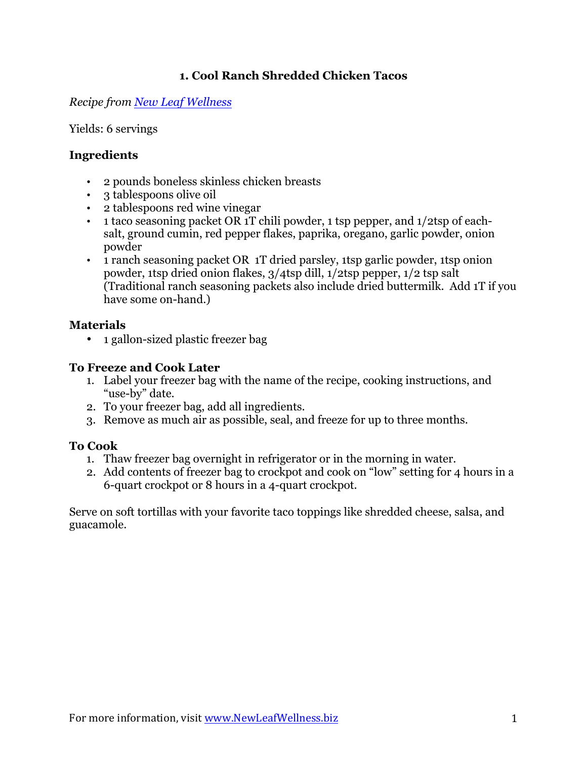# **1. Cool Ranch Shredded Chicken Tacos**

### *Recipe from [New Leaf Wellness](http://newleafwellness.biz/2016/03/30/cool-ranch-shredded-chicken-tacos-crockpot-recipe/)*

#### Yields: 6 servings

# **Ingredients**

- 2 pounds boneless skinless chicken breasts
- 3 tablespoons olive oil
- 2 tablespoons red wine vinegar
- 1 taco seasoning packet OR 1T chili powder, 1 tsp pepper, and 1/2tsp of eachsalt, ground cumin, red pepper flakes, paprika, oregano, garlic powder, onion powder
- 1 ranch seasoning packet OR 1T dried parsley, 1tsp garlic powder, 1tsp onion powder, 1tsp dried onion flakes, 3/4tsp dill, 1/2tsp pepper, 1/2 tsp salt (Traditional ranch seasoning packets also include dried buttermilk. Add 1T if you have some on-hand.)

# **Materials**

• 1 gallon-sized plastic freezer bag

# **To Freeze and Cook Later**

- 1. Label your freezer bag with the name of the recipe, cooking instructions, and "use-by" date.
- 2. To your freezer bag, add all ingredients.
- 3. Remove as much air as possible, seal, and freeze for up to three months.

# **To Cook**

- 1. Thaw freezer bag overnight in refrigerator or in the morning in water.
- 2. Add contents of freezer bag to crockpot and cook on "low" setting for 4 hours in a 6-quart crockpot or 8 hours in a 4-quart crockpot.

Serve on soft tortillas with your favorite taco toppings like shredded cheese, salsa, and guacamole.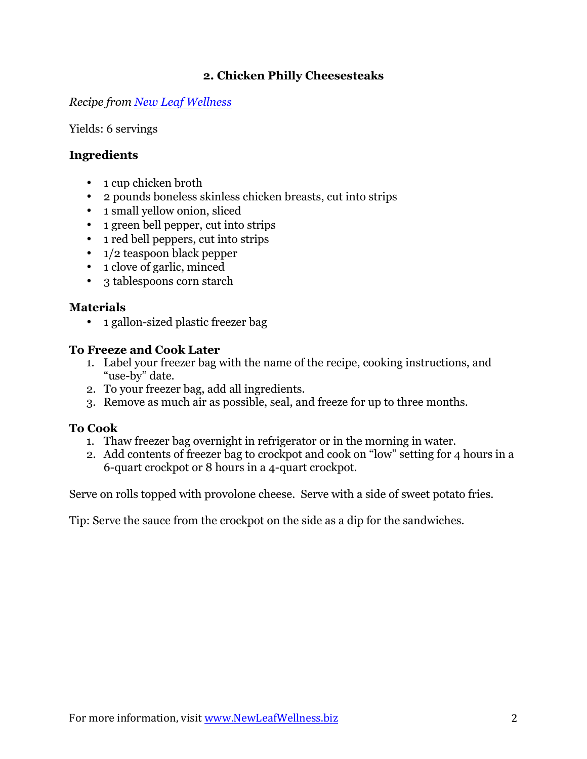# **2. Chicken Philly Cheesesteaks**

#### *Recipe from [New Leaf Wellness](http://newleafwellness.biz/2015/05/06/crockpot-chicken-philly-cheesesteak/)*

Yields: 6 servings

# **Ingredients**

- 1 cup chicken broth
- 2 pounds boneless skinless chicken breasts, cut into strips
- 1 small yellow onion, sliced
- 1 green bell pepper, cut into strips
- 1 red bell peppers, cut into strips
- $1/2$  teaspoon black pepper
- 1 clove of garlic, minced
- 3 tablespoons corn starch

# **Materials**

• 1 gallon-sized plastic freezer bag

### **To Freeze and Cook Later**

- 1. Label your freezer bag with the name of the recipe, cooking instructions, and "use-by" date.
- 2. To your freezer bag, add all ingredients.
- 3. Remove as much air as possible, seal, and freeze for up to three months.

# **To Cook**

- 1. Thaw freezer bag overnight in refrigerator or in the morning in water.
- 2. Add contents of freezer bag to crockpot and cook on "low" setting for 4 hours in a 6-quart crockpot or 8 hours in a 4-quart crockpot.

Serve on rolls topped with provolone cheese. Serve with a side of sweet potato fries.

Tip: Serve the sauce from the crockpot on the side as a dip for the sandwiches.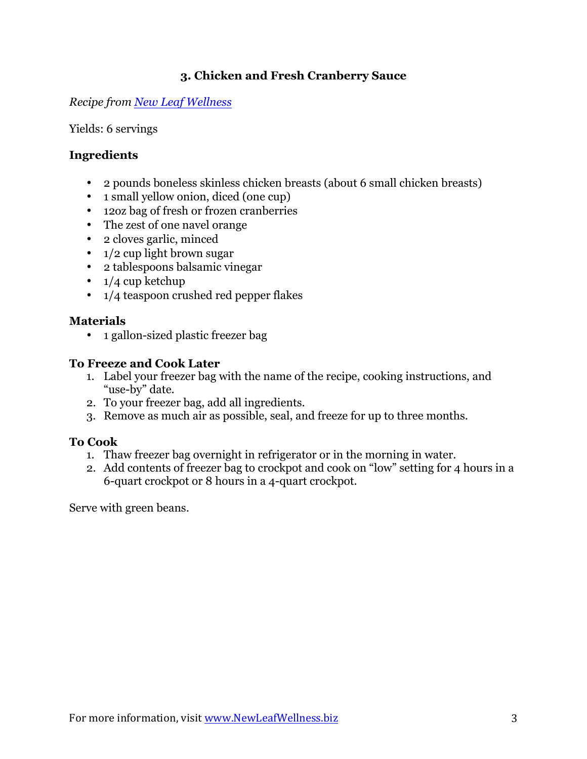# **3. Chicken and Fresh Cranberry Sauce**

# *Recipe from [New Leaf Wellness](http://www.newleafwellness.biz/)*

Yields: 6 servings

# **Ingredients**

- 2 pounds boneless skinless chicken breasts (about 6 small chicken breasts)
- 1 small yellow onion, diced (one cup)
- 12oz bag of fresh or frozen cranberries
- The zest of one navel orange
- 2 cloves garlic, minced
- 1/2 cup light brown sugar
- 2 tablespoons balsamic vinegar
- $\cdot$  1/4 cup ketchup
- 1/4 teaspoon crushed red pepper flakes

# **Materials**

• 1 gallon-sized plastic freezer bag

# **To Freeze and Cook Later**

- 1. Label your freezer bag with the name of the recipe, cooking instructions, and "use-by" date.
- 2. To your freezer bag, add all ingredients.
- 3. Remove as much air as possible, seal, and freeze for up to three months.

# **To Cook**

- 1. Thaw freezer bag overnight in refrigerator or in the morning in water.
- 2. Add contents of freezer bag to crockpot and cook on "low" setting for 4 hours in a 6-quart crockpot or 8 hours in a 4-quart crockpot.

Serve with green beans.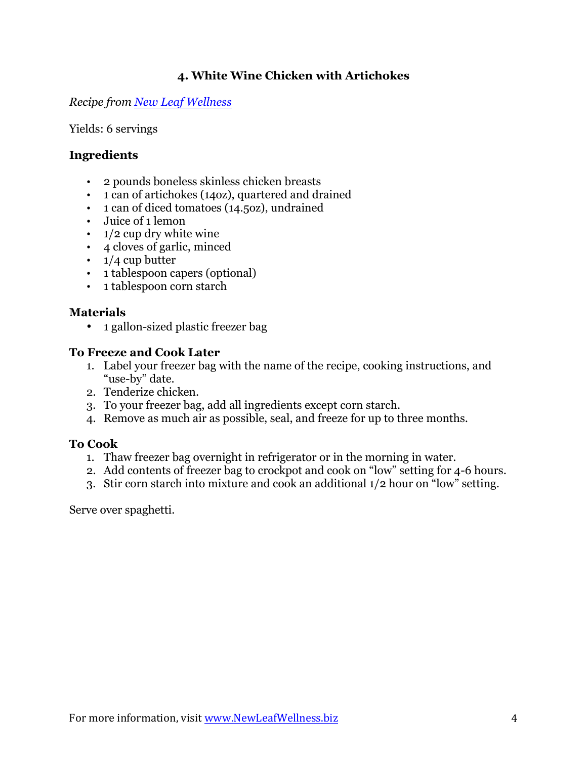# **4. White Wine Chicken with Artichokes**

*Recipe from [New Leaf Wellness](http://newleafwellness.biz/2015/05/18/crockpot-white-wine-chicken-with-artichokes/)*

Yields: 6 servings

### **Ingredients**

- 2 pounds boneless skinless chicken breasts
- 1 can of artichokes (14oz), quartered and drained
- 1 can of diced tomatoes (14.5oz), undrained
- Juice of 1 lemon
- $\cdot$  1/2 cup dry white wine
- 4 cloves of garlic, minced
- $\cdot$  1/4 cup butter
- 1 tablespoon capers (optional)
- 1 tablespoon corn starch

#### **Materials**

• 1 gallon-sized plastic freezer bag

#### **To Freeze and Cook Later**

- 1. Label your freezer bag with the name of the recipe, cooking instructions, and "use-by" date.
- 2. Tenderize chicken.
- 3. To your freezer bag, add all ingredients except corn starch.
- 4. Remove as much air as possible, seal, and freeze for up to three months.

#### **To Cook**

- 1. Thaw freezer bag overnight in refrigerator or in the morning in water.
- 2. Add contents of freezer bag to crockpot and cook on "low" setting for 4-6 hours.
- 3. Stir corn starch into mixture and cook an additional 1/2 hour on "low" setting.

Serve over spaghetti.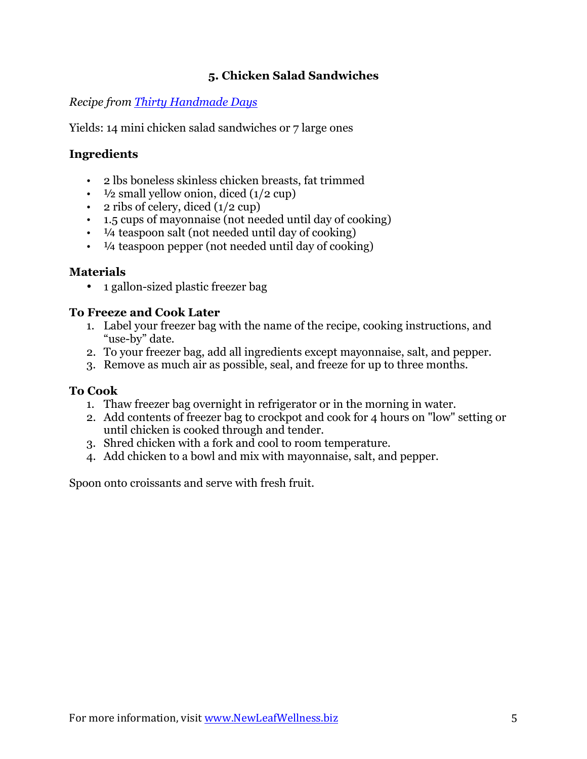# **5. Chicken Salad Sandwiches**

*Recipe from [Thirty Handmade Days](http://www.thirtyhandmadedays.com/2015/06/slow-cooker-chicken-salad-sandwiches/)*

Yields: 14 mini chicken salad sandwiches or 7 large ones

# **Ingredients**

- 2 lbs boneless skinless chicken breasts, fat trimmed
- $\frac{1}{2}$  small yellow onion, diced (1/2 cup)
- 2 ribs of celery, diced  $(1/2 \text{ cup})$
- 1.5 cups of mayonnaise (not needed until day of cooking)
- $\cdot$   $\frac{1}{4}$  teaspoon salt (not needed until day of cooking)
- $\cdot$   $\frac{1}{4}$  teaspoon pepper (not needed until day of cooking)

### **Materials**

• 1 gallon-sized plastic freezer bag

# **To Freeze and Cook Later**

- 1. Label your freezer bag with the name of the recipe, cooking instructions, and "use-by" date.
- 2. To your freezer bag, add all ingredients except mayonnaise, salt, and pepper.
- 3. Remove as much air as possible, seal, and freeze for up to three months.

# **To Cook**

- 1. Thaw freezer bag overnight in refrigerator or in the morning in water.
- 2. Add contents of freezer bag to crockpot and cook for 4 hours on "low" setting or until chicken is cooked through and tender.
- 3. Shred chicken with a fork and cool to room temperature.
- 4. Add chicken to a bowl and mix with mayonnaise, salt, and pepper.

Spoon onto croissants and serve with fresh fruit.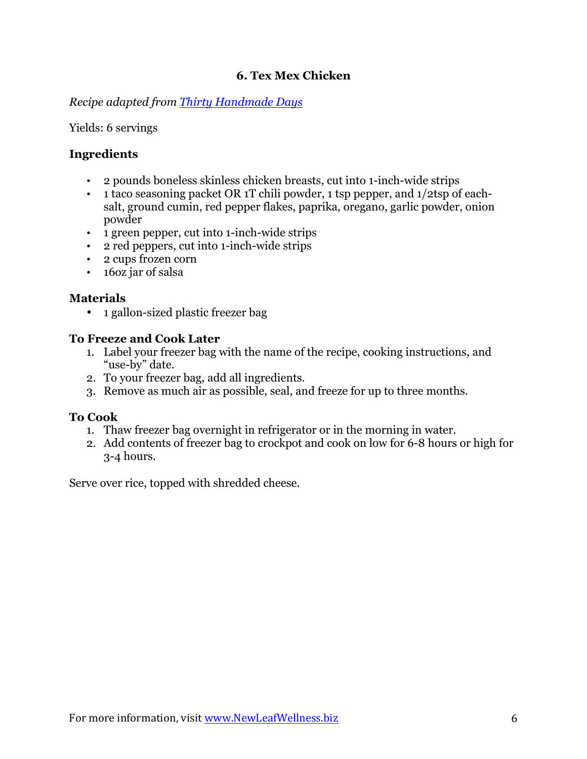# **6. Tex Mex Chicken**

*Recipe adapted from [Thirty Handmade Days](http://www.thirtyhandmadedays.com/2014/03/slow-cooker-tex-mex-chicken/)*

Yields: 6 servings

# **Ingredients**

- 2 pounds boneless skinless chicken breasts, cut into 1-inch-wide strips
- 1 taco seasoning packet OR 1T chili powder, 1 tsp pepper, and 1/2tsp of eachsalt, ground cumin, red pepper flakes, paprika, oregano, garlic powder, onion powder
- 1 green pepper, cut into 1-inch-wide strips
- 2 red peppers, cut into 1-inch-wide strips
- 2 cups frozen corn
- 16oz jar of salsa

# **Materials**

• 1 gallon-sized plastic freezer bag

# **To Freeze and Cook Later**

- 1. Label your freezer bag with the name of the recipe, cooking instructions, and "use-by" date.
- 2. To your freezer bag, add all ingredients.
- 3. Remove as much air as possible, seal, and freeze for up to three months.

# **To Cook**

- 1. Thaw freezer bag overnight in refrigerator or in the morning in water.
- 2. Add contents of freezer bag to crockpot and cook on low for 6-8 hours or high for 3-4 hours.

Serve over rice, topped with shredded cheese.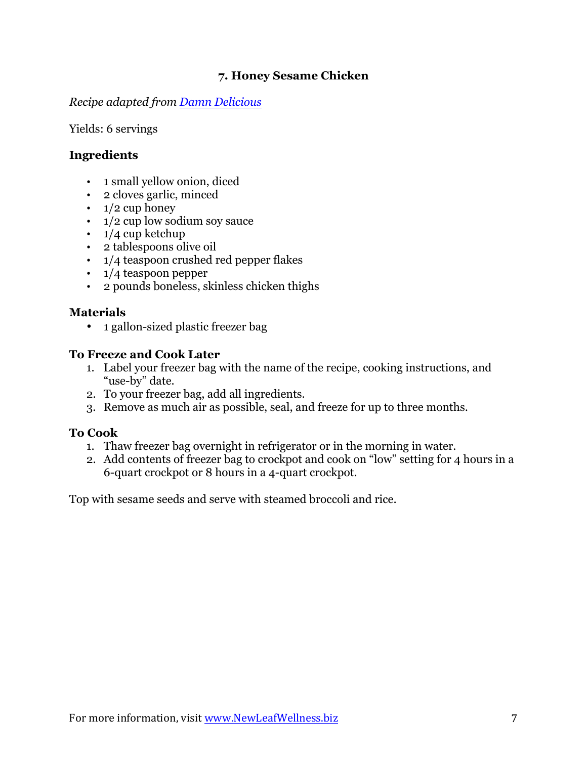# **7. Honey Sesame Chicken**

*Recipe adapted from [Damn Delicious](http://damndelicious.net/2013/11/02/slow-cooker-crockpot-honey-sesame-chicken/)*

Yields: 6 servings

# **Ingredients**

- 1 small yellow onion, diced
- 2 cloves garlic, minced
- $\cdot$  1/2 cup honey
- $\cdot$  1/2 cup low sodium soy sauce
- $\cdot$  1/4 cup ketchup
- 2 tablespoons olive oil
- 1/4 teaspoon crushed red pepper flakes
- 1/4 teaspoon pepper
- 2 pounds boneless, skinless chicken thighs

# **Materials**

• 1 gallon-sized plastic freezer bag

### **To Freeze and Cook Later**

- 1. Label your freezer bag with the name of the recipe, cooking instructions, and "use-by" date.
- 2. To your freezer bag, add all ingredients.
- 3. Remove as much air as possible, seal, and freeze for up to three months.

# **To Cook**

- 1. Thaw freezer bag overnight in refrigerator or in the morning in water.
- 2. Add contents of freezer bag to crockpot and cook on "low" setting for 4 hours in a 6-quart crockpot or 8 hours in a 4-quart crockpot.

Top with sesame seeds and serve with steamed broccoli and rice.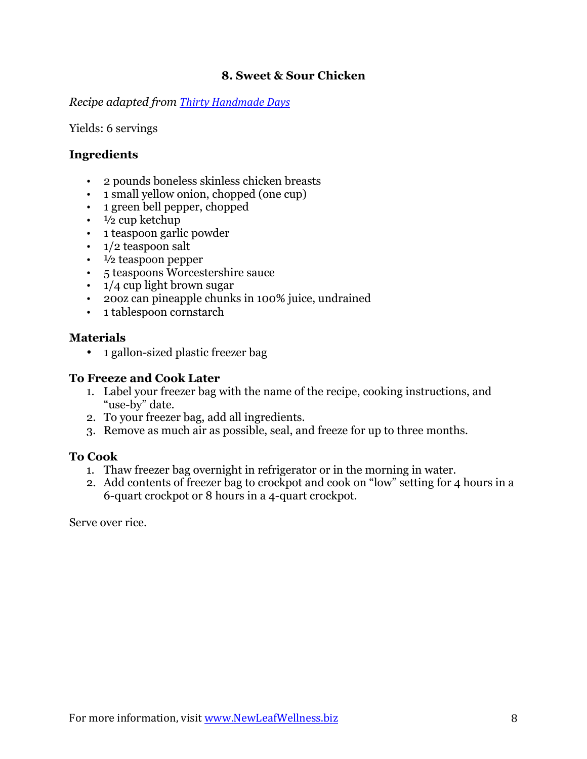### **8. Sweet & Sour Chicken**

*Recipe adapted from [Thirty Handmade Days](http://www.thirtyhandmadedays.com/2013/11/another-family-favorite-sweet-sour-chicken/)*

#### Yields: 6 servings

#### **Ingredients**

- 2 pounds boneless skinless chicken breasts
- 1 small yellow onion, chopped (one cup)
- 1 green bell pepper, chopped
- $\cdot$   $\frac{1}{2}$  cup ketchup
- 1 teaspoon garlic powder
- 1/2 teaspoon salt
- $\cdot$   $\frac{1}{2}$  teaspoon pepper
- 5 teaspoons Worcestershire sauce
- 1/4 cup light brown sugar
- 20oz can pineapple chunks in 100% juice, undrained
- 1 tablespoon cornstarch

#### **Materials**

• 1 gallon-sized plastic freezer bag

#### **To Freeze and Cook Later**

- 1. Label your freezer bag with the name of the recipe, cooking instructions, and "use-by" date.
- 2. To your freezer bag, add all ingredients.
- 3. Remove as much air as possible, seal, and freeze for up to three months.

#### **To Cook**

- 1. Thaw freezer bag overnight in refrigerator or in the morning in water.
- 2. Add contents of freezer bag to crockpot and cook on "low" setting for 4 hours in a 6-quart crockpot or 8 hours in a 4-quart crockpot.

Serve over rice.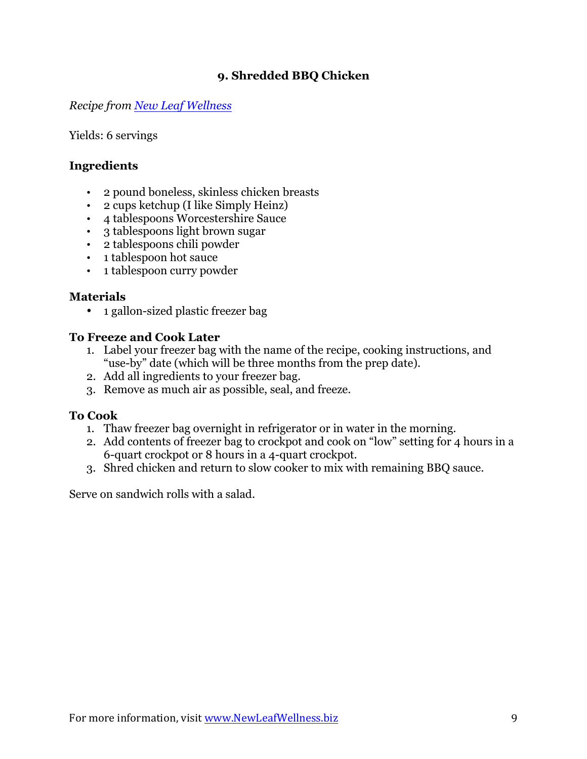# **9. Shredded BBQ Chicken**

*Recipe from [New Leaf Wellness](https://newleafwellness.biz/2013/06/06/easy-healthy-slow-cooker-recipes/)*

Yields: 6 servings

# **Ingredients**

- 2 pound boneless, skinless chicken breasts
- 2 cups ketchup (I like Simply Heinz)
- 4 tablespoons Worcestershire Sauce
- 3 tablespoons light brown sugar
- 2 tablespoons chili powder
- 1 tablespoon hot sauce
- 1 tablespoon curry powder

# **Materials**

• 1 gallon-sized plastic freezer bag

### **To Freeze and Cook Later**

- 1. Label your freezer bag with the name of the recipe, cooking instructions, and "use-by" date (which will be three months from the prep date).
- 2. Add all ingredients to your freezer bag.
- 3. Remove as much air as possible, seal, and freeze.

# **To Cook**

- 1. Thaw freezer bag overnight in refrigerator or in water in the morning.
- 2. Add contents of freezer bag to crockpot and cook on "low" setting for 4 hours in a 6-quart crockpot or 8 hours in a 4-quart crockpot.
- 3. Shred chicken and return to slow cooker to mix with remaining BBQ sauce.

Serve on sandwich rolls with a salad.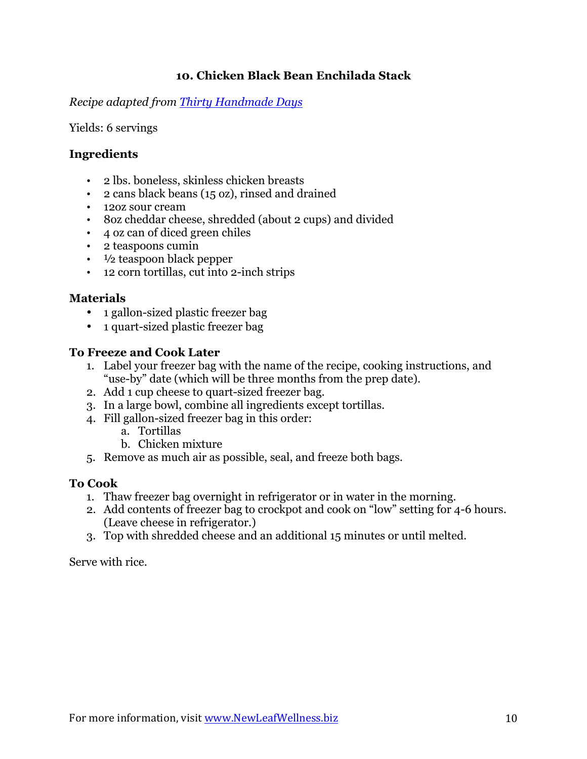# **10. Chicken Black Bean Enchilada Stack**

*Recipe adapted from [Thirty Handmade Days](http://www.thirtyhandmadedays.com/2015/07/chicken-black-bean-enchilada-stack/)*

Yields: 6 servings

# **Ingredients**

- 2 lbs. boneless, skinless chicken breasts
- 2 cans black beans (15 oz), rinsed and drained
- 12oz sour cream
- 8oz cheddar cheese, shredded (about 2 cups) and divided
- 4 oz can of diced green chiles
- 2 teaspoons cumin
- $\cdot$   $\frac{1}{2}$  teaspoon black pepper
- 12 corn tortillas, cut into 2-inch strips

# **Materials**

- 1 gallon-sized plastic freezer bag
- 1 quart-sized plastic freezer bag

### **To Freeze and Cook Later**

- 1. Label your freezer bag with the name of the recipe, cooking instructions, and "use-by" date (which will be three months from the prep date).
- 2. Add 1 cup cheese to quart-sized freezer bag.
- 3. In a large bowl, combine all ingredients except tortillas.
- 4. Fill gallon-sized freezer bag in this order:
	- a. Tortillas
	- b. Chicken mixture
- 5. Remove as much air as possible, seal, and freeze both bags.

# **To Cook**

- 1. Thaw freezer bag overnight in refrigerator or in water in the morning.
- 2. Add contents of freezer bag to crockpot and cook on "low" setting for 4-6 hours. (Leave cheese in refrigerator.)
- 3. Top with shredded cheese and an additional 15 minutes or until melted.

Serve with rice.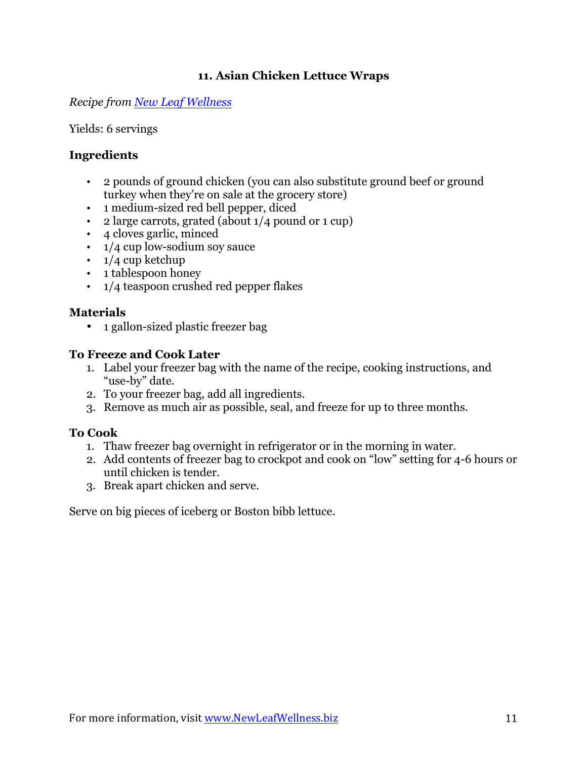# **11. Asian Chicken Lettuce Wraps**

*Recipe from [New Leaf Wellness](http://newleafwellness.biz/2015/06/16/slow-cooker-asian-chicken-lettuce-wraps/)*

Yields: 6 servings

# **Ingredients**

- 2 pounds of ground chicken (you can also substitute ground beef or ground turkey when they're on sale at the grocery store)
- 1 medium-sized red bell pepper, diced
- 2 large carrots, grated (about 1/4 pound or 1 cup)
- 4 cloves garlic, minced
- 1/4 cup low-sodium soy sauce
- $\cdot$  1/4 cup ketchup
- 1 tablespoon honey
- 1/4 teaspoon crushed red pepper flakes

# **Materials**

• 1 gallon-sized plastic freezer bag

### **To Freeze and Cook Later**

- 1. Label your freezer bag with the name of the recipe, cooking instructions, and "use-by" date.
- 2. To your freezer bag, add all ingredients.
- 3. Remove as much air as possible, seal, and freeze for up to three months.

# **To Cook**

- 1. Thaw freezer bag overnight in refrigerator or in the morning in water.
- 2. Add contents of freezer bag to crockpot and cook on "low" setting for 4-6 hours or until chicken is tender.
- 3. Break apart chicken and serve.

Serve on big pieces of iceberg or Boston bibb lettuce.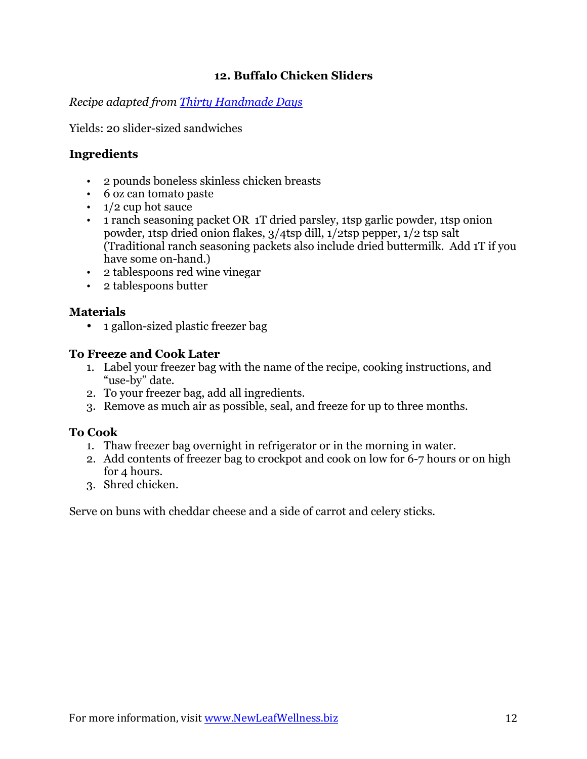# **12. Buffalo Chicken Sliders**

*Recipe adapted from [Thirty Handmade Days](http://www.thirtyhandmadedays.com/2014/11/crock-pot-buffalo-chicken-sliders/)*

Yields: 20 slider-sized sandwiches

# **Ingredients**

- 2 pounds boneless skinless chicken breasts
- 6 oz can tomato paste
- 1/2 cup hot sauce
- 1 ranch seasoning packet OR 1T dried parsley, 1tsp garlic powder, 1tsp onion powder, 1tsp dried onion flakes, 3/4tsp dill, 1/2tsp pepper, 1/2 tsp salt (Traditional ranch seasoning packets also include dried buttermilk. Add 1T if you have some on-hand.)
- 2 tablespoons red wine vinegar
- 2 tablespoons butter

# **Materials**

• 1 gallon-sized plastic freezer bag

### **To Freeze and Cook Later**

- 1. Label your freezer bag with the name of the recipe, cooking instructions, and "use-by" date.
- 2. To your freezer bag, add all ingredients.
- 3. Remove as much air as possible, seal, and freeze for up to three months.

# **To Cook**

- 1. Thaw freezer bag overnight in refrigerator or in the morning in water.
- 2. Add contents of freezer bag to crockpot and cook on low for 6-7 hours or on high for 4 hours.
- 3. Shred chicken.

Serve on buns with cheddar cheese and a side of carrot and celery sticks.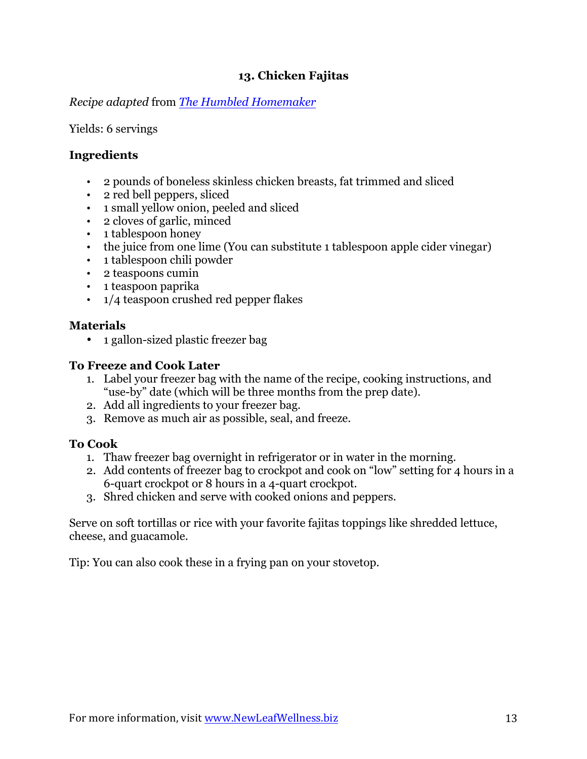# **13. Chicken Fajitas**

*Recipe adapted* from *[The Humbled Homemaker](http://thehumbledhomemaker.com/2015/04/freezer-crockpot-chicken-fajitas)*

Yields: 6 servings

# **Ingredients**

- 2 pounds of boneless skinless chicken breasts, fat trimmed and sliced
- 2 red bell peppers, sliced
- 1 small yellow onion, peeled and sliced
- 2 cloves of garlic, minced
- 1 tablespoon honey
- the juice from one lime (You can substitute 1 tablespoon apple cider vinegar)
- 1 tablespoon chili powder
- 2 teaspoons cumin
- 1 teaspoon paprika
- 1/4 teaspoon crushed red pepper flakes

# **Materials**

• 1 gallon-sized plastic freezer bag

#### **To Freeze and Cook Later**

- 1. Label your freezer bag with the name of the recipe, cooking instructions, and "use-by" date (which will be three months from the prep date).
- 2. Add all ingredients to your freezer bag.
- 3. Remove as much air as possible, seal, and freeze.

#### **To Cook**

- 1. Thaw freezer bag overnight in refrigerator or in water in the morning.
- 2. Add contents of freezer bag to crockpot and cook on "low" setting for 4 hours in a 6-quart crockpot or 8 hours in a 4-quart crockpot.
- 3. Shred chicken and serve with cooked onions and peppers.

Serve on soft tortillas or rice with your favorite fajitas toppings like shredded lettuce, cheese, and guacamole.

Tip: You can also cook these in a frying pan on your stovetop.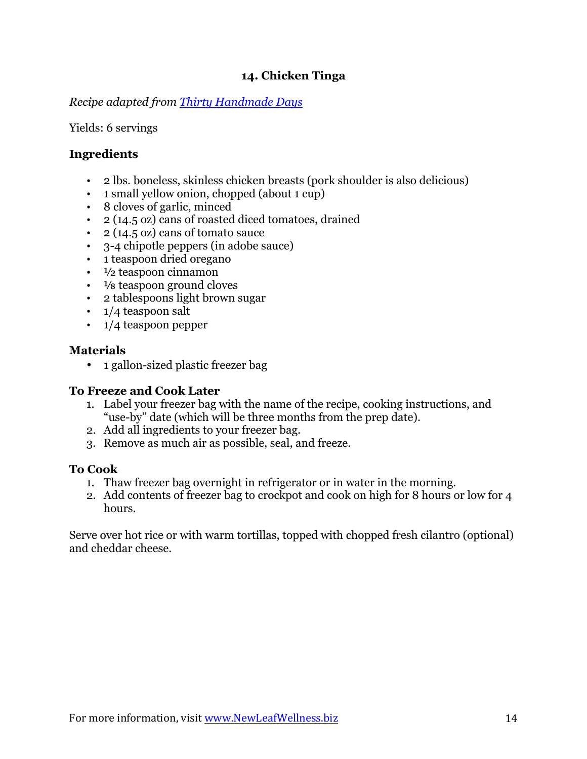# **14. Chicken Tinga**

*Recipe adapted from [Thirty Handmade Days](http://www.thirtyhandmadedays.com/2014/02/crockpot-chicken-tinga/)*

Yields: 6 servings

# **Ingredients**

- 2 lbs. boneless, skinless chicken breasts (pork shoulder is also delicious)
- 1 small yellow onion, chopped (about 1 cup)
- 8 cloves of garlic, minced
- 2 (14.5 oz) cans of roasted diced tomatoes, drained
- 2 (14.5 oz) cans of tomato sauce
- 3-4 chipotle peppers (in adobe sauce)
- 1 teaspoon dried oregano
- $\cdot$   $\frac{1}{2}$  teaspoon cinnamon
- $\cdot$   $\frac{1}{8}$  teaspoon ground cloves
- 2 tablespoons light brown sugar
- 1/4 teaspoon salt
- 1/4 teaspoon pepper

### **Materials**

• 1 gallon-sized plastic freezer bag

# **To Freeze and Cook Later**

- 1. Label your freezer bag with the name of the recipe, cooking instructions, and "use-by" date (which will be three months from the prep date).
- 2. Add all ingredients to your freezer bag.
- 3. Remove as much air as possible, seal, and freeze.

# **To Cook**

- 1. Thaw freezer bag overnight in refrigerator or in water in the morning.
- 2. Add contents of freezer bag to crockpot and cook on high for 8 hours or low for 4 hours.

Serve over hot rice or with warm tortillas, topped with chopped fresh cilantro (optional) and cheddar cheese.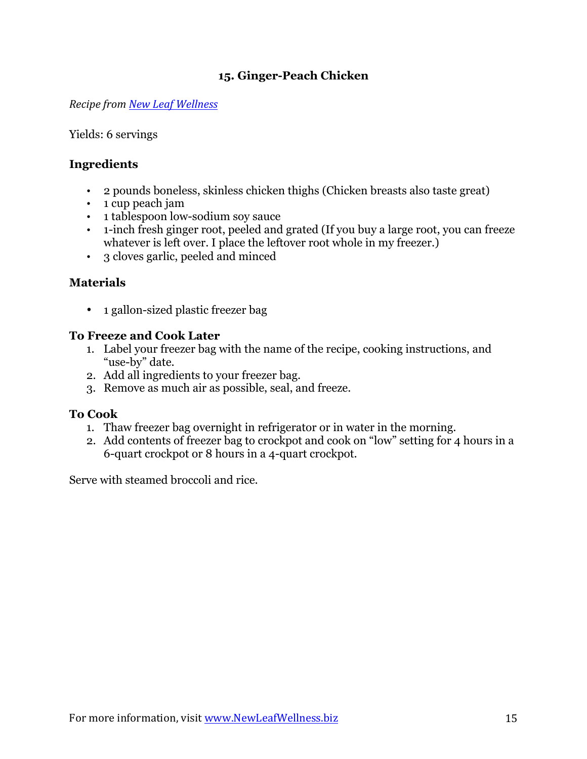# **15. Ginger-Peach Chicken**

*Recipe from [New Leaf Wellness](http://newleafwellness.biz/2014/04/09/slow-cooker-ginger-peach-chicken/)*

Yields: 6 servings

# **Ingredients**

- 2 pounds boneless, skinless chicken thighs (Chicken breasts also taste great)
- 1 cup peach jam
- 1 tablespoon low-sodium soy sauce
- 1-inch fresh ginger root, peeled and grated (If you buy a large root, you can freeze whatever is left over. I place the leftover root whole in my freezer.)
- 3 cloves garlic, peeled and minced

# **Materials**

• 1 gallon-sized plastic freezer bag

#### **To Freeze and Cook Later**

- 1. Label your freezer bag with the name of the recipe, cooking instructions, and "use-by" date.
- 2. Add all ingredients to your freezer bag.
- 3. Remove as much air as possible, seal, and freeze.

#### **To Cook**

- 1. Thaw freezer bag overnight in refrigerator or in water in the morning.
- 2. Add contents of freezer bag to crockpot and cook on "low" setting for 4 hours in a 6-quart crockpot or 8 hours in a 4-quart crockpot.

Serve with steamed broccoli and rice.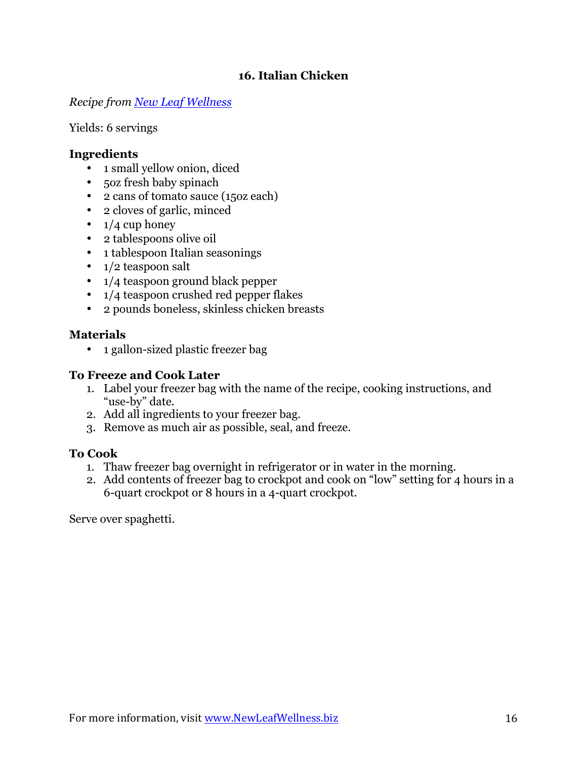# **16. Italian Chicken**

*Recipe from [New Leaf Wellness](http://newleafwellness.biz/2015/03/30/organic-crockpot-freezer-meals-from-costco-10-meals-in-60-minutes/)*

Yields: 6 servings

# **Ingredients**

- 1 small yellow onion, diced
- 5oz fresh baby spinach
- 2 cans of tomato sauce (15oz each)
- 2 cloves of garlic, minced
- $\cdot$  1/4 cup honey
- 2 tablespoons olive oil
- 1 tablespoon Italian seasonings
- 1/2 teaspoon salt
- 1/4 teaspoon ground black pepper
- 1/4 teaspoon crushed red pepper flakes
- 2 pounds boneless, skinless chicken breasts

#### **Materials**

• 1 gallon-sized plastic freezer bag

#### **To Freeze and Cook Later**

- 1. Label your freezer bag with the name of the recipe, cooking instructions, and "use-by" date.
- 2. Add all ingredients to your freezer bag.
- 3. Remove as much air as possible, seal, and freeze.

# **To Cook**

- 1. Thaw freezer bag overnight in refrigerator or in water in the morning.
- 2. Add contents of freezer bag to crockpot and cook on "low" setting for 4 hours in a 6-quart crockpot or 8 hours in a 4-quart crockpot.

Serve over spaghetti.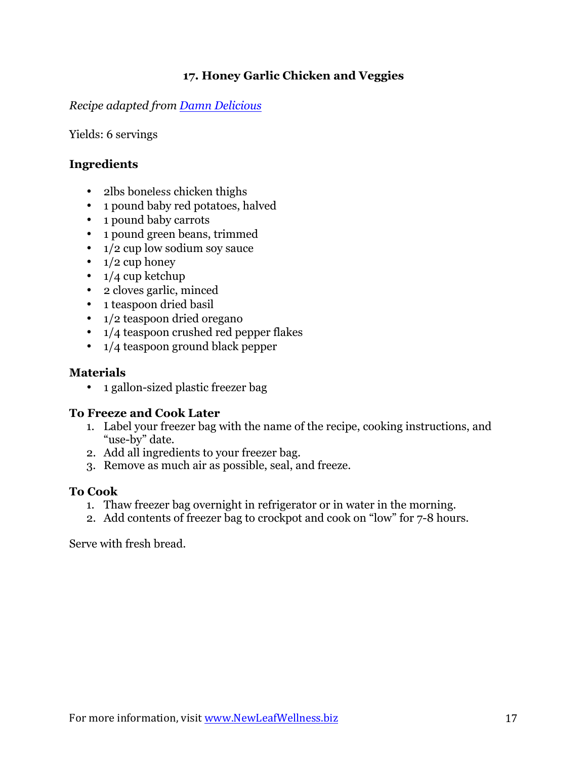# **17. Honey Garlic Chicken and Veggies**

*Recipe adapted from [Damn Delicious](http://damndelicious.net/2015/06/05/slow-cooker-honey-garlic-chicken-and-veggies/)*

Yields: 6 servings

# **Ingredients**

- 2lbs boneless chicken thighs
- 1 pound baby red potatoes, halved
- 1 pound baby carrots
- 1 pound green beans, trimmed
- 1/2 cup low sodium soy sauce
- $1/2$  cup honey
- $\cdot$  1/4 cup ketchup
- 2 cloves garlic, minced
- 1 teaspoon dried basil
- 1/2 teaspoon dried oregano
- 1/4 teaspoon crushed red pepper flakes
- 1/4 teaspoon ground black pepper

### **Materials**

• 1 gallon-sized plastic freezer bag

#### **To Freeze and Cook Later**

- 1. Label your freezer bag with the name of the recipe, cooking instructions, and "use-by" date.
- 2. Add all ingredients to your freezer bag.
- 3. Remove as much air as possible, seal, and freeze.

#### **To Cook**

- 1. Thaw freezer bag overnight in refrigerator or in water in the morning.
- 2. Add contents of freezer bag to crockpot and cook on "low" for 7-8 hours.

Serve with fresh bread.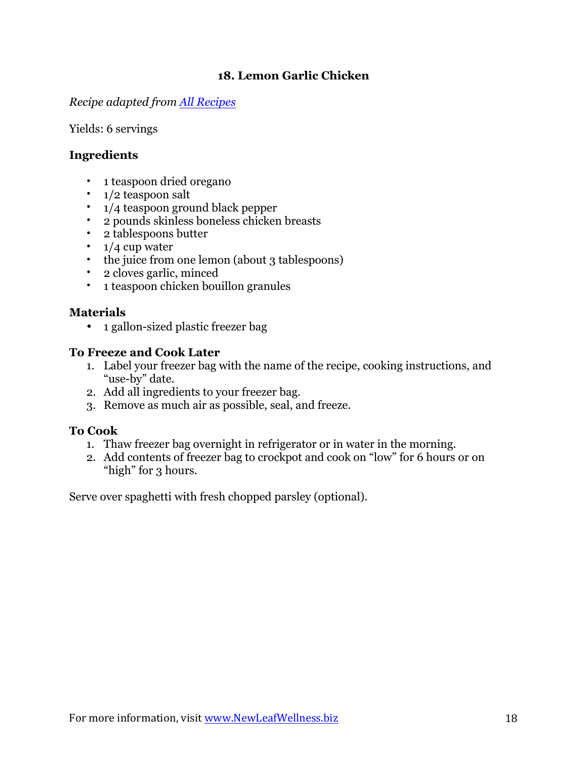# **18. Lemon Garlic Chicken**

*Recipe adapted from [All Recipes](http://allrecipes.com/recipe/18032/slow-cooker-lemon-garlic-chicken)*

Yields: 6 servings

# **Ingredients**

- 1 teaspoon dried oregano
- 1/2 teaspoon salt
- 1/4 teaspoon ground black pepper
- 2 pounds skinless boneless chicken breasts
- 2 tablespoons butter
- $1/4$  cup water
- the juice from one lemon (about 3 tablespoons)
- 2 cloves garlic, minced
- 1 teaspoon chicken bouillon granules

# **Materials**

• 1 gallon-sized plastic freezer bag

# **To Freeze and Cook Later**

- 1. Label your freezer bag with the name of the recipe, cooking instructions, and "use-by" date.
- 2. Add all ingredients to your freezer bag.
- 3. Remove as much air as possible, seal, and freeze.

# **To Cook**

- 1. Thaw freezer bag overnight in refrigerator or in water in the morning.
- 2. Add contents of freezer bag to crockpot and cook on "low" for 6 hours or on "high" for 3 hours.

Serve over spaghetti with fresh chopped parsley (optional).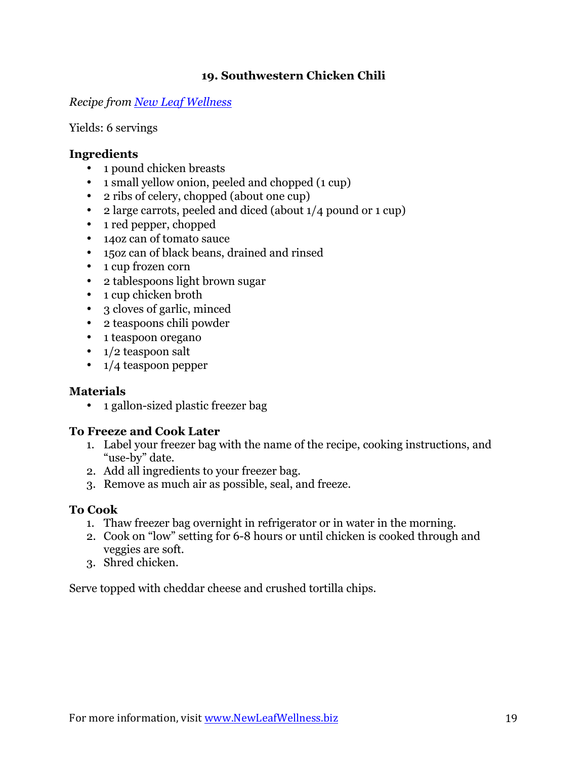# **19. Southwestern Chicken Chili**

*Recipe from [New Leaf Wellness](https://newleafwellness.biz/2015/02/18/slow-cooker-southwestern-pork-chili/)*

Yields: 6 servings

### **Ingredients**

- 1 pound chicken breasts
- 1 small yellow onion, peeled and chopped (1 cup)
- 2 ribs of celery, chopped (about one cup)
- 2 large carrots, peeled and diced (about 1/4 pound or 1 cup)
- 1 red pepper, chopped
- 14oz can of tomato sauce
- 15oz can of black beans, drained and rinsed
- 1 cup frozen corn
- 2 tablespoons light brown sugar
- 1 cup chicken broth
- 3 cloves of garlic, minced
- 2 teaspoons chili powder
- 1 teaspoon oregano
- 1/2 teaspoon salt
- 1/4 teaspoon pepper

# **Materials**

• 1 gallon-sized plastic freezer bag

# **To Freeze and Cook Later**

- 1. Label your freezer bag with the name of the recipe, cooking instructions, and "use-by" date.
- 2. Add all ingredients to your freezer bag.
- 3. Remove as much air as possible, seal, and freeze.

#### **To Cook**

- 1. Thaw freezer bag overnight in refrigerator or in water in the morning.
- 2. Cook on "low" setting for 6-8 hours or until chicken is cooked through and veggies are soft.
- 3. Shred chicken.

Serve topped with cheddar cheese and crushed tortilla chips.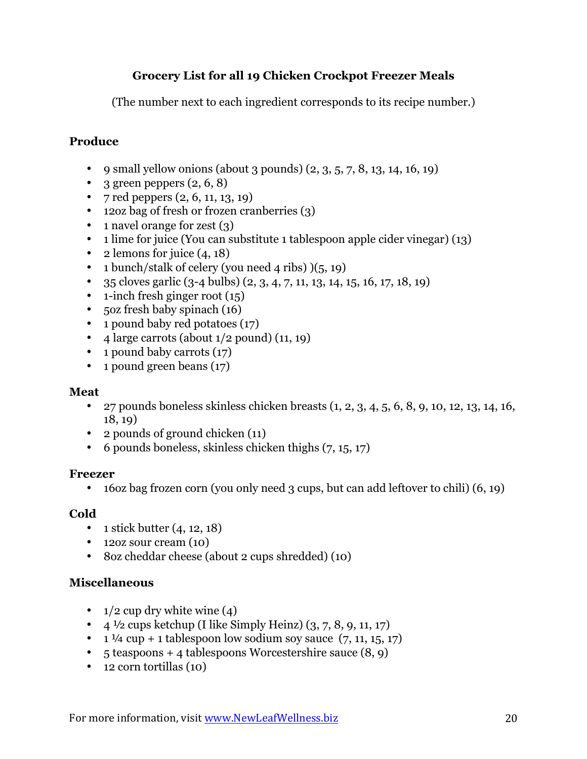# **Grocery List for all 19 Chicken Crockpot Freezer Meals**

(The number next to each ingredient corresponds to its recipe number.)

# **Produce**

- 9 small yellow onions (about 3 pounds)  $(2, 3, 5, 7, 8, 13, 14, 16, 19)$
- 3 green peppers  $(2, 6, 8)$
- 7 red peppers  $(2, 6, 11, 13, 19)$
- 12oz bag of fresh or frozen cranberries (3)
- 1 navel orange for zest (3)
- 1 lime for juice (You can substitute 1 tablespoon apple cider vinegar) (13)
- 2 lemons for juice  $(4, 18)$
- 1 bunch/stalk of celery (you need 4 ribs)  $)(5, 19)$
- 35 cloves garlic  $(3-4$  bulbs)  $(2, 3, 4, 7, 11, 13, 14, 15, 16, 17, 18, 19)$
- $\cdot$  1-inch fresh ginger root (15)
- 5oz fresh baby spinach (16)
- 1 pound baby red potatoes (17)
- 4 large carrots (about  $1/2$  pound)  $(11, 19)$
- 1 pound baby carrots (17)
- 1 pound green beans (17)

#### **Meat**

- 27 pounds boneless skinless chicken breasts  $(1, 2, 3, 4, 5, 6, 8, 9, 10, 12, 13, 14, 16,$ 18, 19)
- 2 pounds of ground chicken (11)
- 6 pounds boneless, skinless chicken thighs (7, 15, 17)

#### **Freezer**

• 16oz bag frozen corn (you only need 3 cups, but can add leftover to chili) (6, 19)

# **Cold**

- 1 stick butter  $(4, 12, 18)$
- 12oz sour cream (10)
- 8oz cheddar cheese (about 2 cups shredded) (10)

# **Miscellaneous**

- $1/2$  cup dry white wine (4)
- $4\frac{1}{2}$  cups ketchup (I like Simply Heinz)  $(3, 7, 8, 9, 11, 17)$
- $1\frac{1}{4}$  cup + 1 tablespoon low sodium soy sauce  $(7, 11, 15, 17)$
- 5 teaspoons + 4 tablespoons Worcestershire sauce (8, 9)
- 12 corn tortillas (10)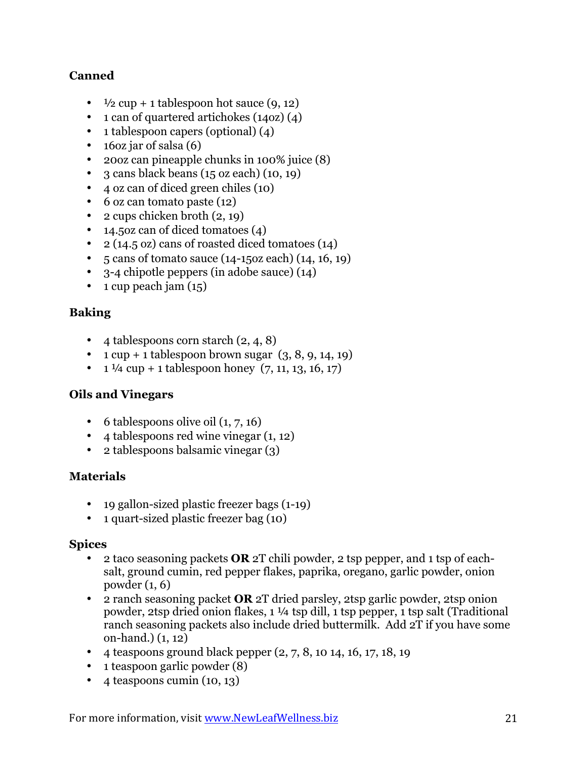# **Canned**

- $\frac{1}{2}$  cup + 1 tablespoon hot sauce (9, 12)
- 1 can of quartered artichokes (14oz) (4)
- 1 tablespoon capers (optional) (4)
- 16oz jar of salsa (6)
- 20oz can pineapple chunks in 100% juice (8)
- 3 cans black beans (15 oz each) (10, 19)
- 4 oz can of diced green chiles (10)
- 6 oz can tomato paste (12)
- 2 cups chicken broth  $(2, 19)$
- 14.50z can of diced tomatoes (4)
- 2 (14.5 oz) cans of roasted diced tomatoes (14)
- 5 cans of tomato sauce (14-15oz each) (14, 16, 19)
- 3-4 chipotle peppers (in adobe sauce) (14)
- $\cdot$  1 cup peach jam  $(15)$

# **Baking**

- 4 tablespoons corn starch  $(2, 4, 8)$
- 1 cup + 1 tablespoon brown sugar  $(3, 8, 9, 14, 19)$
- $1\frac{1}{4}$  cup + 1 tablespoon honey  $(7, 11, 13, 16, 17)$

# **Oils and Vinegars**

- 6 tablespoons olive oil  $(1, 7, 16)$
- 4 tablespoons red wine vinegar (1, 12)
- 2 tablespoons balsamic vinegar (3)

# **Materials**

- 19 gallon-sized plastic freezer bags (1-19)
- 1 quart-sized plastic freezer bag (10)

#### **Spices**

- 2 taco seasoning packets **OR** 2T chili powder, 2 tsp pepper, and 1 tsp of eachsalt, ground cumin, red pepper flakes, paprika, oregano, garlic powder, onion powder (1, 6)
- 2 ranch seasoning packet **OR** 2T dried parsley, 2tsp garlic powder, 2tsp onion powder, 2tsp dried onion flakes, 1 ¼ tsp dill, 1 tsp pepper, 1 tsp salt (Traditional ranch seasoning packets also include dried buttermilk. Add 2T if you have some on-hand.) (1, 12)
- 4 teaspoons ground black pepper  $(2, 7, 8, 10, 14, 16, 17, 18, 19)$
- 1 teaspoon garlic powder (8)
- $\bullet$  4 teaspoons cumin (10, 13)